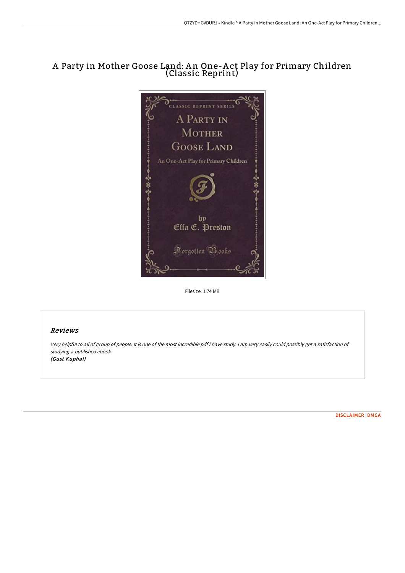# A Party in Mother Goose Land: A n One-A ct Play for Primary Children (Classic Reprint)



Filesize: 1.74 MB

## Reviews

Very helpful to all of group of people. It is one of the most incredible pdf i have study. <sup>I</sup> am very easily could possibly get <sup>a</sup> satisfaction of studying <sup>a</sup> published ebook. (Gust Kuphal)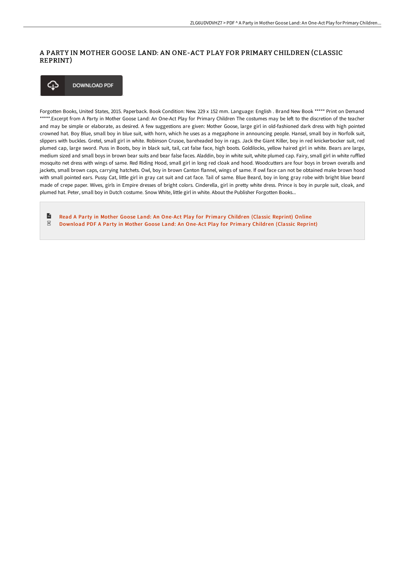## A PARTY IN MOTHER GOOSE LAND: AN ONE-ACT PLAY FOR PRIMARY CHILDREN (CLASSIC REPRINT)



Forgotten Books, United States, 2015. Paperback. Book Condition: New. 229 x 152 mm. Language: English . Brand New Book \*\*\*\*\* Print on Demand \*\*\*\*\*.Excerpt from A Party in Mother Goose Land: An One-Act Play for Primary Children The costumes may be left to the discretion of the teacher and may be simple or elaborate, as desired. A few suggestions are given: Mother Goose, large girl in old-fashioned dark dress with high pointed crowned hat. Boy Blue, small boy in blue suit, with horn, which he uses as a megaphone in announcing people. Hansel, small boy in Norfolk suit, slippers with buckles. Gretel, small girl in white. Robinson Crusoe, bareheaded boy in rags. Jack the Giant Killer, boy in red knickerbocker suit, red plumed cap, large sword. Puss in Boots, boy in black suit, tail, cat false face, high boots. Goldilocks, yellow haired girl in white. Bears are large, medium sized and small boys in brown bear suits and bear false faces. Aladdin, boy in white suit, white plumed cap. Fairy, small girl in white ruFled mosquito net dress with wings of same. Red Riding Hood, small girl in long red cloak and hood. Woodcutters are four boys in brown overalls and jackets, small brown caps, carrying hatchets. Owl, boy in brown Canton flannel, wings of same. If owl face can not be obtained make brown hood with small pointed ears. Pussy Cat, little girl in gray cat suit and cat face. Tail of same. Blue Beard, boy in long gray robe with bright blue beard made of crepe paper. Wives, girls in Empire dresses of bright colors. Cinderella, girl in pretty white dress. Prince is boy in purple suit, cloak, and plumed hat. Peter, small boy in Dutch costume. Snow White, little girl in white. About the Publisher Forgotten Books...

 $\mathbb{R}$ Read A Party in Mother Goose Land: An One-Act Play for Primary [Children](http://techno-pub.tech/a-party-in-mother-goose-land-an-one-act-play-for.html) (Classic Reprint) Online  $_{\rm PDF}$ [Download](http://techno-pub.tech/a-party-in-mother-goose-land-an-one-act-play-for.html) PDF A Party in Mother Goose Land: An One-Act Play for Primary Children (Classic Reprint)